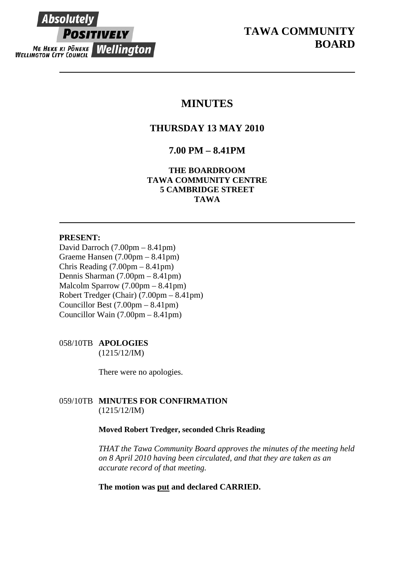# **Absolutely POSITIVELY ME HEKE KI PÖNEKE Wellington**

# **MINUTES**

# **THURSDAY 13 MAY 2010**

# **7.00 PM – 8.41PM**

**THE BOARDROOM TAWA COMMUNITY CENTRE 5 CAMBRIDGE STREET TAWA** 

# **PRESENT:**

David Darroch (7.00pm – 8.41pm) Graeme Hansen (7.00pm – 8.41pm) Chris Reading (7.00pm – 8.41pm) Dennis Sharman (7.00pm – 8.41pm) Malcolm Sparrow (7.00pm – 8.41pm) Robert Tredger (Chair) (7.00pm – 8.41pm) Councillor Best (7.00pm – 8.41pm) Councillor Wain (7.00pm – 8.41pm)

# 058/10TB **APOLOGIES**

(1215/12/IM)

There were no apologies.

# 059/10TB **MINUTES FOR CONFIRMATION** (1215/12/IM)

# **Moved Robert Tredger, seconded Chris Reading**

*THAT the Tawa Community Board approves the minutes of the meeting held on 8 April 2010 having been circulated, and that they are taken as an accurate record of that meeting.* 

**The motion was put and declared CARRIED.**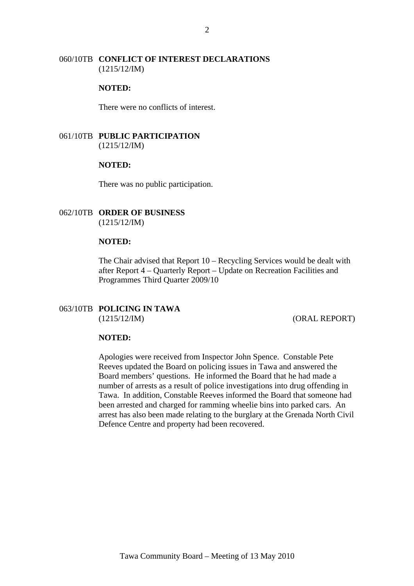# 060/10TB **CONFLICT OF INTEREST DECLARATIONS** (1215/12/IM)

#### **NOTED:**

There were no conflicts of interest.

# 061/10TB **PUBLIC PARTICIPATION** (1215/12/IM)

## **NOTED:**

There was no public participation.

#### 062/10TB **ORDER OF BUSINESS**  (1215/12/IM)

#### **NOTED:**

The Chair advised that Report 10 – Recycling Services would be dealt with after Report 4 – Quarterly Report – Update on Recreation Facilities and Programmes Third Quarter 2009/10

# 063/10TB **POLICING IN TAWA**  (1215/12/IM) (ORAL REPORT)

### **NOTED:**

Apologies were received from Inspector John Spence. Constable Pete Reeves updated the Board on policing issues in Tawa and answered the Board members' questions. He informed the Board that he had made a number of arrests as a result of police investigations into drug offending in Tawa. In addition, Constable Reeves informed the Board that someone had been arrested and charged for ramming wheelie bins into parked cars. An arrest has also been made relating to the burglary at the Grenada North Civil Defence Centre and property had been recovered.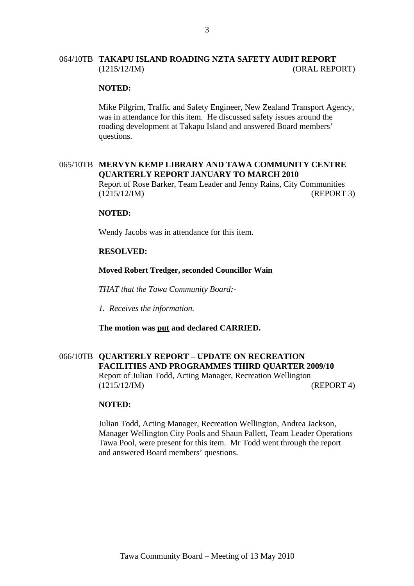# 064/10TB **TAKAPU ISLAND ROADING NZTA SAFETY AUDIT REPORT** (1215/12/IM) (ORAL REPORT)

#### **NOTED:**

Mike Pilgrim, Traffic and Safety Engineer, New Zealand Transport Agency, was in attendance for this item. He discussed safety issues around the roading development at Takapu Island and answered Board members' questions.

# 065/10TB **MERVYN KEMP LIBRARY AND TAWA COMMUNITY CENTRE QUARTERLY REPORT JANUARY TO MARCH 2010**

Report of Rose Barker, Team Leader and Jenny Rains, City Communities (1215/12/IM) (REPORT 3)

#### **NOTED:**

Wendy Jacobs was in attendance for this item.

#### **RESOLVED:**

# **Moved Robert Tredger, seconded Councillor Wain**

*THAT that the Tawa Community Board:-* 

*1. Receives the information.* 

**The motion was put and declared CARRIED.** 

# 066/10TB **QUARTERLY REPORT – UPDATE ON RECREATION FACILITIES AND PROGRAMMES THIRD QUARTER 2009/10**

Report of Julian Todd, Acting Manager, Recreation Wellington (1215/12/IM) (REPORT 4)

#### **NOTED:**

Julian Todd, Acting Manager, Recreation Wellington, Andrea Jackson, Manager Wellington City Pools and Shaun Pallett, Team Leader Operations Tawa Pool, were present for this item. Mr Todd went through the report and answered Board members' questions.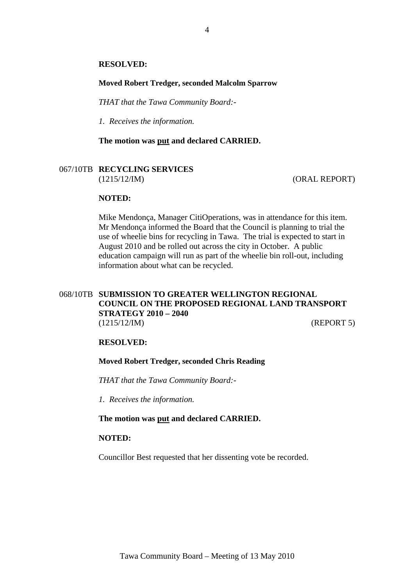#### **RESOLVED:**

#### **Moved Robert Tredger, seconded Malcolm Sparrow**

*THAT that the Tawa Community Board:-* 

*1. Receives the information.* 

**The motion was put and declared CARRIED.** 

## 067/10TB **RECYCLING SERVICES** (1215/12/IM) (ORAL REPORT)

#### **NOTED:**

Mike Mendonça, Manager CitiOperations, was in attendance for this item. Mr Mendonça informed the Board that the Council is planning to trial the use of wheelie bins for recycling in Tawa. The trial is expected to start in August 2010 and be rolled out across the city in October. A public education campaign will run as part of the wheelie bin roll-out, including information about what can be recycled.

# 068/10TB **SUBMISSION TO GREATER WELLINGTON REGIONAL COUNCIL ON THE PROPOSED REGIONAL LAND TRANSPORT STRATEGY 2010 – 2040** (1215/12/IM) (REPORT 5)

#### **RESOLVED:**

### **Moved Robert Tredger, seconded Chris Reading**

*THAT that the Tawa Community Board:-* 

*1. Receives the information.* 

#### **The motion was put and declared CARRIED.**

# **NOTED:**

Councillor Best requested that her dissenting vote be recorded.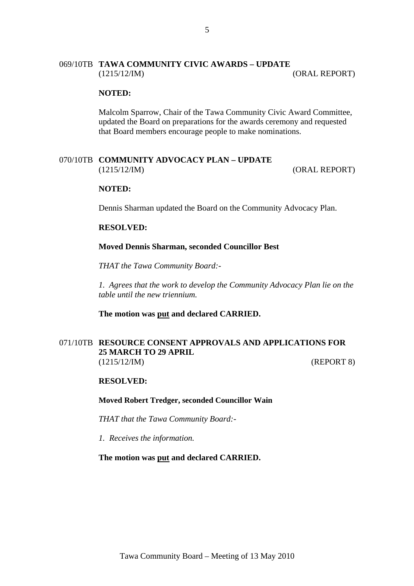# 069/10TB **TAWA COMMUNITY CIVIC AWARDS – UPDATE** (1215/12/IM) (ORAL REPORT)

#### **NOTED:**

Malcolm Sparrow, Chair of the Tawa Community Civic Award Committee, updated the Board on preparations for the awards ceremony and requested that Board members encourage people to make nominations.

# 070/10TB **COMMUNITY ADVOCACY PLAN – UPDATE**

(1215/12/IM) (ORAL REPORT)

### **NOTED:**

Dennis Sharman updated the Board on the Community Advocacy Plan.

#### **RESOLVED:**

#### **Moved Dennis Sharman, seconded Councillor Best**

*THAT the Tawa Community Board:-* 

*1. Agrees that the work to develop the Community Advocacy Plan lie on the table until the new triennium.* 

#### **The motion was put and declared CARRIED.**

# 071/10TB **RESOURCE CONSENT APPROVALS AND APPLICATIONS FOR 25 MARCH TO 29 APRIL** (1215/12/IM) (REPORT 8)

#### **RESOLVED:**

#### **Moved Robert Tredger, seconded Councillor Wain**

*THAT that the Tawa Community Board:-* 

*1. Receives the information.* 

#### **The motion was put and declared CARRIED.**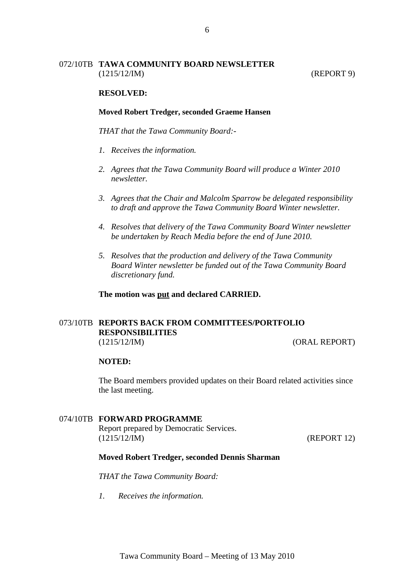# 072/10TB **TAWA COMMUNITY BOARD NEWSLETTER** (1215/12/IM) (REPORT 9)

## **RESOLVED:**

#### **Moved Robert Tredger, seconded Graeme Hansen**

*THAT that the Tawa Community Board:-* 

- *1. Receives the information.*
- *2. Agrees that the Tawa Community Board will produce a Winter 2010 newsletter.*
- *3. Agrees that the Chair and Malcolm Sparrow be delegated responsibility to draft and approve the Tawa Community Board Winter newsletter.*
- *4. Resolves that delivery of the Tawa Community Board Winter newsletter be undertaken by Reach Media before the end of June 2010.*
- *5. Resolves that the production and delivery of the Tawa Community Board Winter newsletter be funded out of the Tawa Community Board discretionary fund.*

**The motion was put and declared CARRIED.** 

# 073/10TB **REPORTS BACK FROM COMMITTEES/PORTFOLIO RESPONSIBILITIES** (1215/12/IM) (ORAL REPORT)

#### **NOTED:**

The Board members provided updates on their Board related activities since the last meeting.

#### 074/10TB **FORWARD PROGRAMME**

Report prepared by Democratic Services. (1215/12/IM) (REPORT 12)

#### **Moved Robert Tredger, seconded Dennis Sharman**

*THAT the Tawa Community Board:* 

*1. Receives the information.*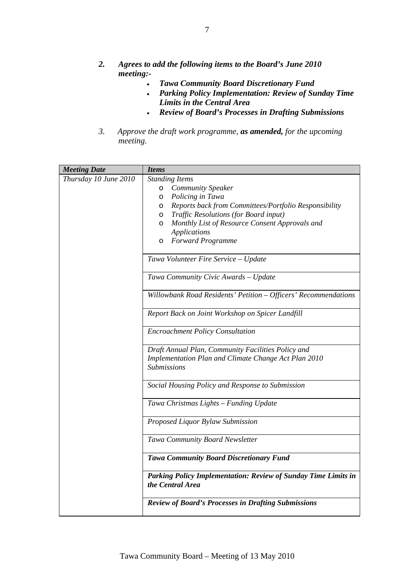- *2. Agrees to add the following items to the Board's June 2010 meeting:-* 
	- *Tawa Community Board Discretionary Fund*
	- *Parking Policy Implementation: Review of Sunday Time Limits in the Central Area*
	- *Review of Board's Processes in Drafting Submissions*
- *3. Approve the draft work programme, as amended, for the upcoming meeting.*

| <b>Meeting Date</b>   | <b>Items</b>                                                                       |
|-----------------------|------------------------------------------------------------------------------------|
| Thursday 10 June 2010 | <b>Standing Items</b>                                                              |
|                       | <b>Community Speaker</b><br>$\circ$                                                |
|                       | Policing in Tawa<br>$\circ$                                                        |
|                       | Reports back from Committees/Portfolio Responsibility<br>$\circ$                   |
|                       | Traffic Resolutions (for Board input)<br>$\circ$                                   |
|                       | Monthly List of Resource Consent Approvals and<br>$\circ$                          |
|                       | <b>Applications</b>                                                                |
|                       | <b>Forward Programme</b><br>$\circ$                                                |
|                       | Tawa Volunteer Fire Service - Update                                               |
|                       | Tawa Community Civic Awards - Update                                               |
|                       | Willowbank Road Residents' Petition - Officers' Recommendations                    |
|                       | Report Back on Joint Workshop on Spicer Landfill                                   |
|                       | <b>Encroachment Policy Consultation</b>                                            |
|                       | Draft Annual Plan, Community Facilities Policy and                                 |
|                       | Implementation Plan and Climate Change Act Plan 2010<br><b>Submissions</b>         |
|                       | Social Housing Policy and Response to Submission                                   |
|                       | Tawa Christmas Lights - Funding Update                                             |
|                       | Proposed Liquor Bylaw Submission                                                   |
|                       | Tawa Community Board Newsletter                                                    |
|                       | <b>Tawa Community Board Discretionary Fund</b>                                     |
|                       | Parking Policy Implementation: Review of Sunday Time Limits in<br>the Central Area |
|                       | <b>Review of Board's Processes in Drafting Submissions</b>                         |